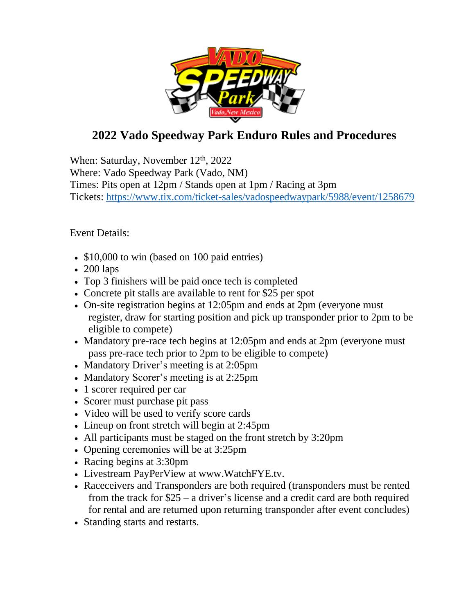

## **2022 Vado Speedway Park Enduro Rules and Procedures**

When: Saturday, November 12<sup>th</sup>, 2022 Where: Vado Speedway Park (Vado, NM) Times: Pits open at 12pm / Stands open at 1pm / Racing at 3pm Tickets: <https://www.tix.com/ticket-sales/vadospeedwaypark/5988/event/1258679>

Event Details:

- \$10,000 to win (based on 100 paid entries)
- 200 laps
- Top 3 finishers will be paid once tech is completed
- Concrete pit stalls are available to rent for \$25 per spot
- On-site registration begins at 12:05pm and ends at 2pm (everyone must register, draw for starting position and pick up transponder prior to 2pm to be eligible to compete)
- Mandatory pre-race tech begins at 12:05pm and ends at 2pm (everyone must) pass pre-race tech prior to 2pm to be eligible to compete)
- Mandatory Driver's meeting is at 2:05pm
- Mandatory Scorer's meeting is at 2:25pm
- 1 scorer required per car
- Scorer must purchase pit pass
- Video will be used to verify score cards
- Lineup on front stretch will begin at 2:45pm
- All participants must be staged on the front stretch by 3:20pm
- Opening ceremonies will be at 3:25pm
- Racing begins at 3:30pm
- Livestream PayPerView at www.WatchFYE.tv.
- Raceceivers and Transponders are both required (transponders must be rented from the track for \$25 – a driver's license and a credit card are both required for rental and are returned upon returning transponder after event concludes)
- Standing starts and restarts.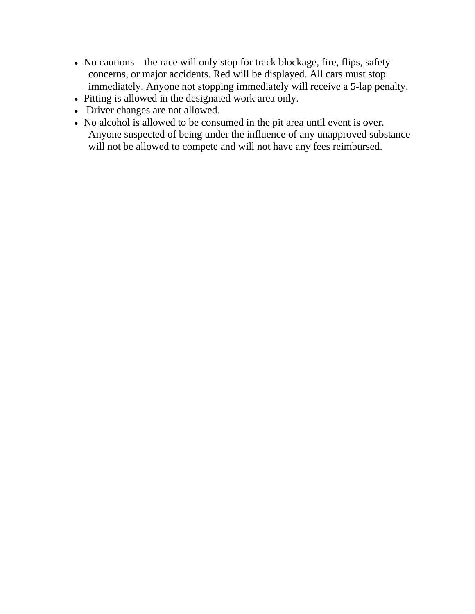- No cautions the race will only stop for track blockage, fire, flips, safety concerns, or major accidents. Red will be displayed. All cars must stop immediately. Anyone not stopping immediately will receive a 5-lap penalty.
- Pitting is allowed in the designated work area only.
- Driver changes are not allowed.
- No alcohol is allowed to be consumed in the pit area until event is over. Anyone suspected of being under the influence of any unapproved substance will not be allowed to compete and will not have any fees reimbursed.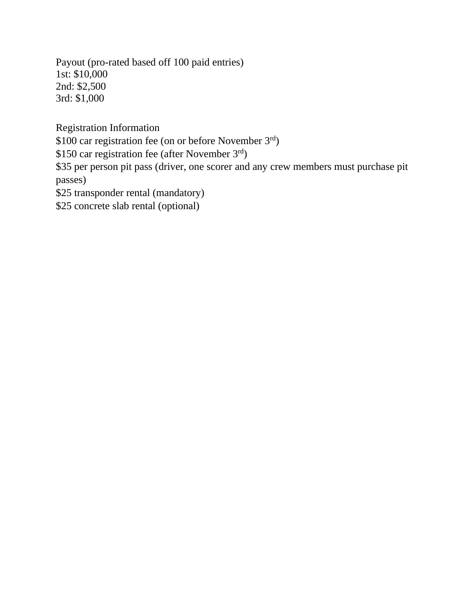Payout (pro-rated based off 100 paid entries) 1st: \$10,000 2nd: \$2,500 3rd: \$1,000

Registration Information

\$100 car registration fee (on or before November 3rd)

\$150 car registration fee (after November 3rd)

\$35 per person pit pass (driver, one scorer and any crew members must purchase pit passes)

\$25 transponder rental (mandatory)

\$25 concrete slab rental (optional)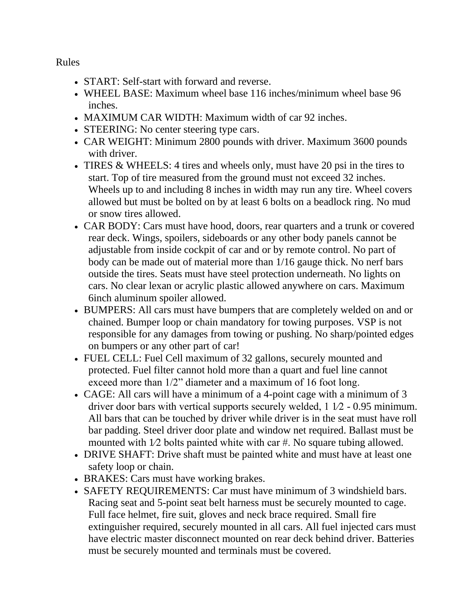Rules

- START: Self-start with forward and reverse.
- WHEEL BASE: Maximum wheel base 116 inches/minimum wheel base 96 inches.
- MAXIMUM CAR WIDTH: Maximum width of car 92 inches.
- STEERING: No center steering type cars.
- CAR WEIGHT: Minimum 2800 pounds with driver. Maximum 3600 pounds with driver.
- TIRES & WHEELS: 4 tires and wheels only, must have 20 psi in the tires to start. Top of tire measured from the ground must not exceed 32 inches. Wheels up to and including 8 inches in width may run any tire. Wheel covers allowed but must be bolted on by at least 6 bolts on a beadlock ring. No mud or snow tires allowed.
- CAR BODY: Cars must have hood, doors, rear quarters and a trunk or covered rear deck. Wings, spoilers, sideboards or any other body panels cannot be adjustable from inside cockpit of car and or by remote control. No part of body can be made out of material more than 1/16 gauge thick. No nerf bars outside the tires. Seats must have steel protection underneath. No lights on cars. No clear lexan or acrylic plastic allowed anywhere on cars. Maximum 6inch aluminum spoiler allowed.
- BUMPERS: All cars must have bumpers that are completely welded on and or chained. Bumper loop or chain mandatory for towing purposes. VSP is not responsible for any damages from towing or pushing. No sharp/pointed edges on bumpers or any other part of car!
- FUEL CELL: Fuel Cell maximum of 32 gallons, securely mounted and protected. Fuel filter cannot hold more than a quart and fuel line cannot exceed more than 1/2" diameter and a maximum of 16 foot long.
- CAGE: All cars will have a minimum of a 4-point cage with a minimum of 3 driver door bars with vertical supports securely welded, 1 1⁄2 - 0.95 minimum. All bars that can be touched by driver while driver is in the seat must have roll bar padding. Steel driver door plate and window net required. Ballast must be mounted with 1⁄2 bolts painted white with car #. No square tubing allowed.
- DRIVE SHAFT: Drive shaft must be painted white and must have at least one safety loop or chain.
- BRAKES: Cars must have working brakes.
- SAFETY REQUIREMENTS: Car must have minimum of 3 windshield bars. Racing seat and 5-point seat belt harness must be securely mounted to cage. Full face helmet, fire suit, gloves and neck brace required. Small fire extinguisher required, securely mounted in all cars. All fuel injected cars must have electric master disconnect mounted on rear deck behind driver. Batteries must be securely mounted and terminals must be covered.